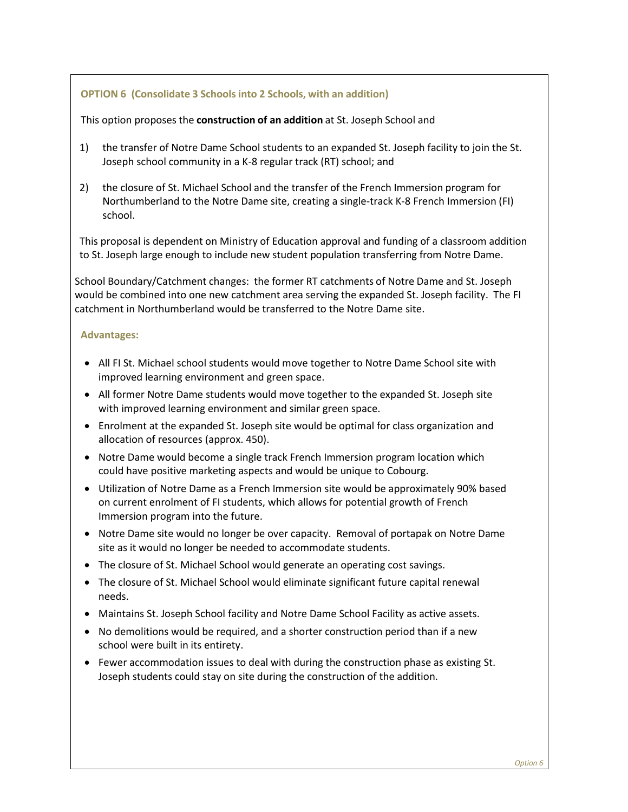## **OPTION 6 (Consolidate 3 Schools into 2 Schools, with an addition)**

This option proposes the **construction of an addition** at St. Joseph School and

- 1) the transfer of Notre Dame School students to an expanded St. Joseph facility to join the St. Joseph school community in a K-8 regular track (RT) school; and
- 2) the closure of St. Michael School and the transfer of the French Immersion program for Northumberland to the Notre Dame site, creating a single-track K-8 French Immersion (FI) school.

This proposal is dependent on Ministry of Education approval and funding of a classroom addition to St. Joseph large enough to include new student population transferring from Notre Dame.

School Boundary/Catchment changes: the former RT catchments of Notre Dame and St. Joseph would be combined into one new catchment area serving the expanded St. Joseph facility. The FI catchment in Northumberland would be transferred to the Notre Dame site.

## **Advantages:**

- All FI St. Michael school students would move together to Notre Dame School site with improved learning environment and green space.
- All former Notre Dame students would move together to the expanded St. Joseph site with improved learning environment and similar green space.
- Enrolment at the expanded St. Joseph site would be optimal for class organization and allocation of resources (approx. 450).
- Notre Dame would become a single track French Immersion program location which could have positive marketing aspects and would be unique to Cobourg.
- Utilization of Notre Dame as a French Immersion site would be approximately 90% based on current enrolment of FI students, which allows for potential growth of French Immersion program into the future.
- Notre Dame site would no longer be over capacity. Removal of portapak on Notre Dame site as it would no longer be needed to accommodate students.
- The closure of St. Michael School would generate an operating cost savings.
- The closure of St. Michael School would eliminate significant future capital renewal needs.
- Maintains St. Joseph School facility and Notre Dame School Facility as active assets.
- No demolitions would be required, and a shorter construction period than if a new school were built in its entirety.
- Fewer accommodation issues to deal with during the construction phase as existing St. Joseph students could stay on site during the construction of the addition.